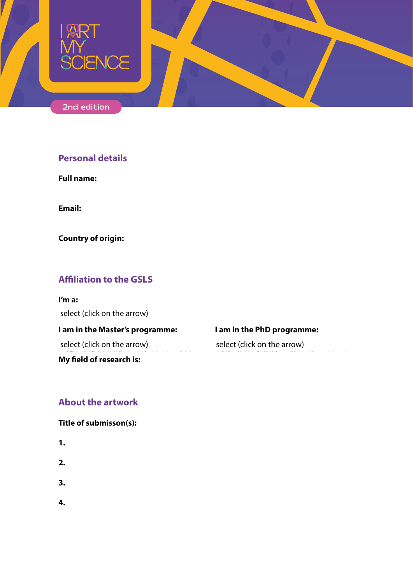

# **Personal details**

**Full name:**

**Email:**

**Country of origin:**

# **Affiliation to the GSLS**

**I'm a:** select (click on the arrow)

I am in the Master's programme: **I am in the PhD programme**:

select (click on the arrow)

My field of research is:

Biomembranes Cancer, Stem cells and Developmental Biology Cardiovascular Research Clinical & Experimental Neuroscience Translational Oncology Computational Life Sciences Drug Innovation Environmental Biology Epidemiology Infection & Immunity Medical Imaging Molecular Life Sciences Regenrative Medicine Toxicology & Environmental Health

select (click on the arrow)

## **About the artwork**

#### **Title of submisson(s):**

- **1.**
- **2.**
- **3.**
- **4.**